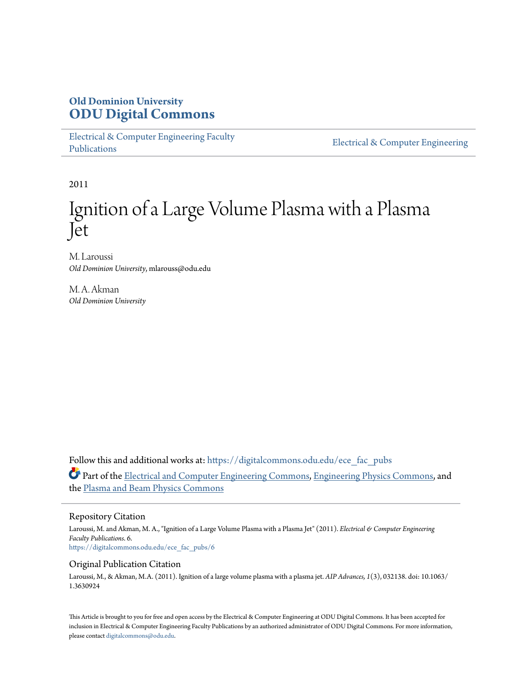## **Old Dominion University [ODU Digital Commons](https://digitalcommons.odu.edu?utm_source=digitalcommons.odu.edu%2Fece_fac_pubs%2F6&utm_medium=PDF&utm_campaign=PDFCoverPages)**

[Electrical & Computer Engineering Faculty](https://digitalcommons.odu.edu/ece_fac_pubs?utm_source=digitalcommons.odu.edu%2Fece_fac_pubs%2F6&utm_medium=PDF&utm_campaign=PDFCoverPages) [Publications](https://digitalcommons.odu.edu/ece_fac_pubs?utm_source=digitalcommons.odu.edu%2Fece_fac_pubs%2F6&utm_medium=PDF&utm_campaign=PDFCoverPages)

[Electrical & Computer Engineering](https://digitalcommons.odu.edu/ece?utm_source=digitalcommons.odu.edu%2Fece_fac_pubs%2F6&utm_medium=PDF&utm_campaign=PDFCoverPages)

2011

# Ignition of a Large Volume Plasma with a Plasma Jet

M. Laroussi *Old Dominion University*, mlarouss@odu.edu

M. A. Akman *Old Dominion University*

Follow this and additional works at: [https://digitalcommons.odu.edu/ece\\_fac\\_pubs](https://digitalcommons.odu.edu/ece_fac_pubs?utm_source=digitalcommons.odu.edu%2Fece_fac_pubs%2F6&utm_medium=PDF&utm_campaign=PDFCoverPages) Part of the [Electrical and Computer Engineering Commons](http://network.bepress.com/hgg/discipline/266?utm_source=digitalcommons.odu.edu%2Fece_fac_pubs%2F6&utm_medium=PDF&utm_campaign=PDFCoverPages), [Engineering Physics Commons](http://network.bepress.com/hgg/discipline/200?utm_source=digitalcommons.odu.edu%2Fece_fac_pubs%2F6&utm_medium=PDF&utm_campaign=PDFCoverPages), and the [Plasma and Beam Physics Commons](http://network.bepress.com/hgg/discipline/205?utm_source=digitalcommons.odu.edu%2Fece_fac_pubs%2F6&utm_medium=PDF&utm_campaign=PDFCoverPages)

#### Repository Citation

Laroussi, M. and Akman, M. A., "Ignition of a Large Volume Plasma with a Plasma Jet" (2011). *Electrical & Computer Engineering Faculty Publications*. 6. [https://digitalcommons.odu.edu/ece\\_fac\\_pubs/6](https://digitalcommons.odu.edu/ece_fac_pubs/6?utm_source=digitalcommons.odu.edu%2Fece_fac_pubs%2F6&utm_medium=PDF&utm_campaign=PDFCoverPages)

## Original Publication Citation

Laroussi, M., & Akman, M.A. (2011). Ignition of a large volume plasma with a plasma jet. *AIP Advances, 1*(3), 032138. doi: 10.1063/ 1.3630924

This Article is brought to you for free and open access by the Electrical & Computer Engineering at ODU Digital Commons. It has been accepted for inclusion in Electrical & Computer Engineering Faculty Publications by an authorized administrator of ODU Digital Commons. For more information, please contact [digitalcommons@odu.edu](mailto:digitalcommons@odu.edu).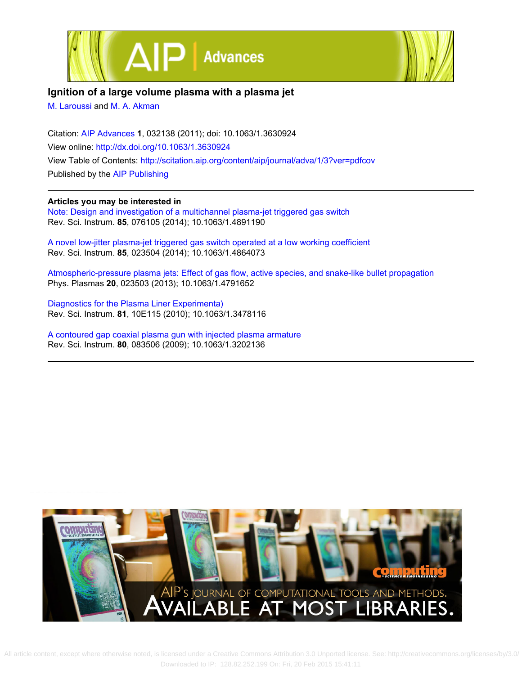



## **Ignition of a large volume plasma with a plasma jet**

[M. Laroussi](http://scitation.aip.org/search?value1=M.+Laroussi&option1=author) and [M. A. Akman](http://scitation.aip.org/search?value1=M.+A.+Akman&option1=author)

Citation: [AIP Advances](http://scitation.aip.org/content/aip/journal/adva?ver=pdfcov) **1**, 032138 (2011); doi: 10.1063/1.3630924 View online: <http://dx.doi.org/10.1063/1.3630924> View Table of Contents: <http://scitation.aip.org/content/aip/journal/adva/1/3?ver=pdfcov> Published by the [AIP Publishing](http://scitation.aip.org/content/aip?ver=pdfcov)

### **Articles you may be interested in**

[Note: Design and investigation of a multichannel plasma-jet triggered gas switch](http://scitation.aip.org/content/aip/journal/rsi/85/7/10.1063/1.4891190?ver=pdfcov) Rev. Sci. Instrum. **85**, 076105 (2014); 10.1063/1.4891190

[A novel low-jitter plasma-jet triggered gas switch operated at a low working coefficient](http://scitation.aip.org/content/aip/journal/rsi/85/2/10.1063/1.4864073?ver=pdfcov) Rev. Sci. Instrum. **85**, 023504 (2014); 10.1063/1.4864073

[Atmospheric-pressure plasma jets: Effect of gas flow, active species, and snake-like bullet propagation](http://scitation.aip.org/content/aip/journal/pop/20/2/10.1063/1.4791652?ver=pdfcov) Phys. Plasmas **20**, 023503 (2013); 10.1063/1.4791652

[Diagnostics for the Plasma Liner Experimenta\)](http://scitation.aip.org/content/aip/journal/rsi/81/10/10.1063/1.3478116?ver=pdfcov) Rev. Sci. Instrum. **81**, 10E115 (2010); 10.1063/1.3478116

[A contoured gap coaxial plasma gun with injected plasma armature](http://scitation.aip.org/content/aip/journal/rsi/80/8/10.1063/1.3202136?ver=pdfcov) Rev. Sci. Instrum. **80**, 083506 (2009); 10.1063/1.3202136



 All article content, except where otherwise noted, is licensed under a Creative Commons Attribution 3.0 Unported license. See: http://creativecommons.org/licenses/by/3.0/ Downloaded to IP: 128.82.252.199 On: Fri, 20 Feb 2015 15:41:11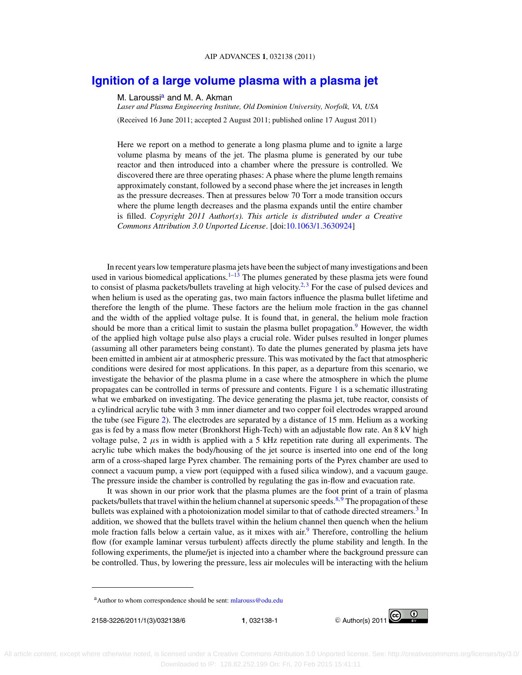## **[Ignition of a large volume plasma with a plasma jet](http://dx.doi.org/10.1063/1.3630924)**

M. Laroussi<sup>a</sup> and M. A. Akman

*Laser and Plasma Engineering Institute, Old Dominion University, Norfolk, VA, USA*

(Received 16 June 2011; accepted 2 August 2011; published online 17 August 2011)

Here we report on a method to generate a long plasma plume and to ignite a large volume plasma by means of the jet. The plasma plume is generated by our tube reactor and then introduced into a chamber where the pressure is controlled. We discovered there are three operating phases: A phase where the plume length remains approximately constant, followed by a second phase where the jet increases in length as the pressure decreases. Then at pressures below 70 Torr a mode transition occurs where the plume length decreases and the plasma expands until the entire chamber is filled. *Copyright 2011 Author(s). This article is distributed under a Creative Commons Attribution 3.0 Unported License*. [doi[:10.1063/1.3630924\]](http://dx.doi.org/10.1063/1.3630924)

In recent years low temperature plasma jets have been the subject of many investigations and been used in various biomedical applications.<sup>[1–13](#page-7-0)</sup> The plumes generated by these plasma jets were found to consist of plasma packets/bullets traveling at high velocity.<sup>2,[3](#page-7-0)</sup> For the case of pulsed devices and when helium is used as the operating gas, two main factors influence the plasma bullet lifetime and therefore the length of the plume. These factors are the helium mole fraction in the gas channel and the width of the applied voltage pulse. It is found that, in general, the helium mole fraction should be more than a critical limit to sustain the plasma bullet propagation.<sup>[9](#page-7-0)</sup> However, the width of the applied high voltage pulse also plays a crucial role. Wider pulses resulted in longer plumes (assuming all other parameters being constant). To date the plumes generated by plasma jets have been emitted in ambient air at atmospheric pressure. This was motivated by the fact that atmospheric conditions were desired for most applications. In this paper, as a departure from this scenario, we investigate the behavior of the plasma plume in a case where the atmosphere in which the plume propagates can be controlled in terms of pressure and contents. Figure [1](#page-3-0) is a schematic illustrating what we embarked on investigating. The device generating the plasma jet, tube reactor, consists of a cylindrical acrylic tube with 3 mm inner diameter and two copper foil electrodes wrapped around the tube (see Figure [2\)](#page-4-0). The electrodes are separated by a distance of 15 mm. Helium as a working gas is fed by a mass flow meter (Bronkhorst High-Tech) with an adjustable flow rate. An 8 kV high voltage pulse,  $2 \mu s$  in width is applied with a 5 kHz repetition rate during all experiments. The acrylic tube which makes the body/housing of the jet source is inserted into one end of the long arm of a cross-shaped large Pyrex chamber. The remaining ports of the Pyrex chamber are used to connect a vacuum pump, a view port (equipped with a fused silica window), and a vacuum gauge. The pressure inside the chamber is controlled by regulating the gas in-flow and evacuation rate.

It was shown in our prior work that the plasma plumes are the foot print of a train of plasma packets/bullets that travel within the helium channel at supersonic speeds.<sup>8,[9](#page-7-0)</sup> The propagation of these bullets was explained with a photoionization model similar to that of cathode directed streamers.<sup>3</sup> In addition, we showed that the bullets travel within the helium channel then quench when the helium mole fraction falls below a certain value, as it mixes with  $\sin^9$  $\sin^9$  Therefore, controlling the helium flow (for example laminar versus turbulent) affects directly the plume stability and length. In the following experiments, the plume/jet is injected into a chamber where the background pressure can be controlled. Thus, by lowering the pressure, less air molecules will be interacting with the helium



a Author to whom correspondence should be sent: [mlarouss@odu.edu](mailto: mlarouss@odu.edu)

<sup>2158-3226/2011/1(3)/032138/6</sup> **1**, 032138-1 -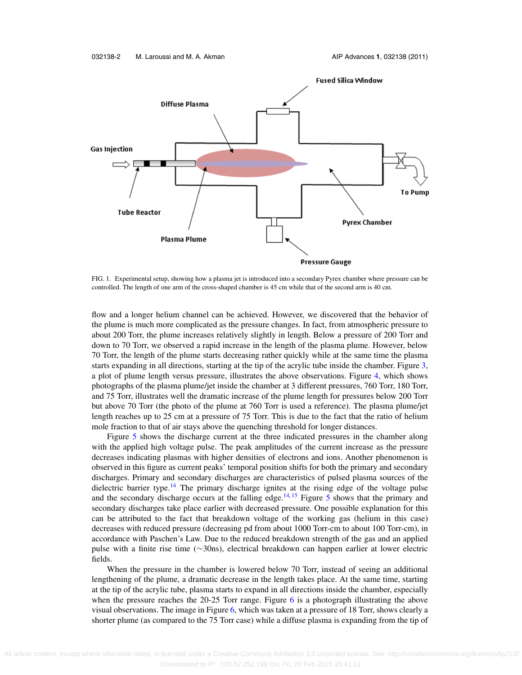<span id="page-3-0"></span>

FIG. 1. Experimental setup, showing how a plasma jet is introduced into a secondary Pyrex chamber where pressure can be controlled. The length of one arm of the cross-shaped chamber is 45 cm while that of the second arm is 40 cm.

flow and a longer helium channel can be achieved. However, we discovered that the behavior of the plume is much more complicated as the pressure changes. In fact, from atmospheric pressure to about 200 Torr, the plume increases relatively slightly in length. Below a pressure of 200 Torr and down to 70 Torr, we observed a rapid increase in the length of the plasma plume. However, below 70 Torr, the length of the plume starts decreasing rather quickly while at the same time the plasma starts expanding in all directions, starting at the tip of the acrylic tube inside the chamber. Figure [3,](#page-5-0) a plot of plume length versus pressure, illustrates the above observations. Figure [4,](#page-5-0) which shows photographs of the plasma plume/jet inside the chamber at 3 different pressures, 760 Torr, 180 Torr, and 75 Torr, illustrates well the dramatic increase of the plume length for pressures below 200 Torr but above 70 Torr (the photo of the plume at 760 Torr is used a reference). The plasma plume/jet length reaches up to 25 cm at a pressure of 75 Torr. This is due to the fact that the ratio of helium mole fraction to that of air stays above the quenching threshold for longer distances.

Figure [5](#page-6-0) shows the discharge current at the three indicated pressures in the chamber along with the applied high voltage pulse. The peak amplitudes of the current increase as the pressure decreases indicating plasmas with higher densities of electrons and ions. Another phenomenon is observed in this figure as current peaks' temporal position shifts for both the primary and secondary discharges. Primary and secondary discharges are characteristics of pulsed plasma sources of the dielectric barrier type.<sup>[14](#page-7-0)</sup> The primary discharge ignites at the rising edge of the voltage pulse and the secondary discharge occurs at the falling edge.<sup>[14,](#page-7-0) [15](#page-7-0)</sup> Figure [5](#page-6-0) shows that the primary and secondary discharges take place earlier with decreased pressure. One possible explanation for this can be attributed to the fact that breakdown voltage of the working gas (helium in this case) decreases with reduced pressure (decreasing pd from about 1000 Torr-cm to about 100 Torr-cm), in accordance with Paschen's Law. Due to the reduced breakdown strength of the gas and an applied pulse with a finite rise time (∼30ns), electrical breakdown can happen earlier at lower electric fields.

When the pressure in the chamber is lowered below 70 Torr, instead of seeing an additional lengthening of the plume, a dramatic decrease in the length takes place. At the same time, starting at the tip of the acrylic tube, plasma starts to expand in all directions inside the chamber, especially when the pressure reaches the 20-25 Torr range. Figure [6](#page-6-0) is a photograph illustrating the above visual observations. The image in Figure [6,](#page-6-0) which was taken at a pressure of 18 Torr, shows clearly a shorter plume (as compared to the 75 Torr case) while a diffuse plasma is expanding from the tip of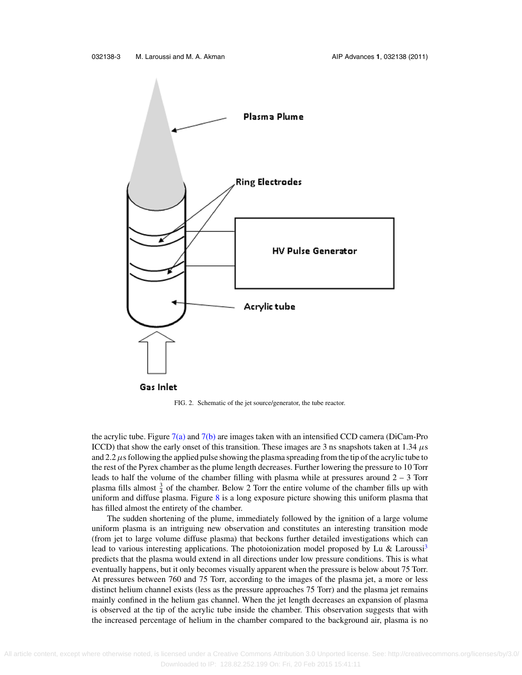<span id="page-4-0"></span>

FIG. 2. Schematic of the jet source/generator, the tube reactor.

the acrylic tube. Figure  $7(a)$  and  $7(b)$  are images taken with an intensified CCD camera (DiCam-Pro ICCD) that show the early onset of this transition. These images are 3 ns snapshots taken at 1.34  $\mu$ s and 2.2  $\mu$ s following the applied pulse showing the plasma spreading from the tip of the acrylic tube to the rest of the Pyrex chamber as the plume length decreases. Further lowering the pressure to 10 Torr leads to half the volume of the chamber filling with plasma while at pressures around 2 – 3 Torr plasma fills almost  $\frac{3}{4}$  of the chamber. Below 2 Torr the entire volume of the chamber fills up with uniform and diffuse plasma. Figure [8](#page-7-0) is a long exposure picture showing this uniform plasma that has filled almost the entirety of the chamber.

The sudden shortening of the plume, immediately followed by the ignition of a large volume uniform plasma is an intriguing new observation and constitutes an interesting transition mode (from jet to large volume diffuse plasma) that beckons further detailed investigations which can lead to various interesting applications. The photoionization model proposed by Lu & Laroussi<sup>3</sup> predicts that the plasma would extend in all directions under low pressure conditions. This is what eventually happens, but it only becomes visually apparent when the pressure is below about 75 Torr. At pressures between 760 and 75 Torr, according to the images of the plasma jet, a more or less distinct helium channel exists (less as the pressure approaches 75 Torr) and the plasma jet remains mainly confined in the helium gas channel. When the jet length decreases an expansion of plasma is observed at the tip of the acrylic tube inside the chamber. This observation suggests that with the increased percentage of helium in the chamber compared to the background air, plasma is no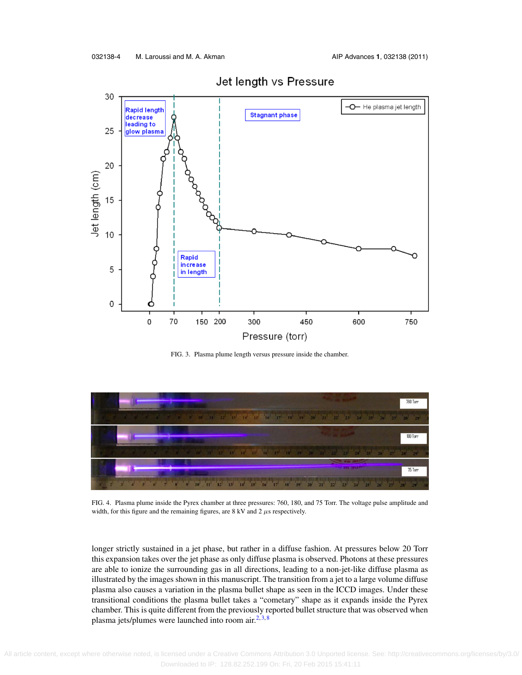<span id="page-5-0"></span>

Jet length vs Pressure

FIG. 3. Plasma plume length versus pressure inside the chamber.



FIG. 4. Plasma plume inside the Pyrex chamber at three pressures: 760, 180, and 75 Torr. The voltage pulse amplitude and width, for this figure and the remaining figures, are 8 kV and 2  $\mu$ s respectively.

longer strictly sustained in a jet phase, but rather in a diffuse fashion. At pressures below 20 Torr this expansion takes over the jet phase as only diffuse plasma is observed. Photons at these pressures are able to ionize the surrounding gas in all directions, leading to a non-jet-like diffuse plasma as illustrated by the images shown in this manuscript. The transition from a jet to a large volume diffuse plasma also causes a variation in the plasma bullet shape as seen in the ICCD images. Under these transitional conditions the plasma bullet takes a "cometary" shape as it expands inside the Pyrex chamber. This is quite different from the previously reported bullet structure that was observed when plasma jets/plumes were launched into room air. $2,3,8$  $2,3,8$  $2,3,8$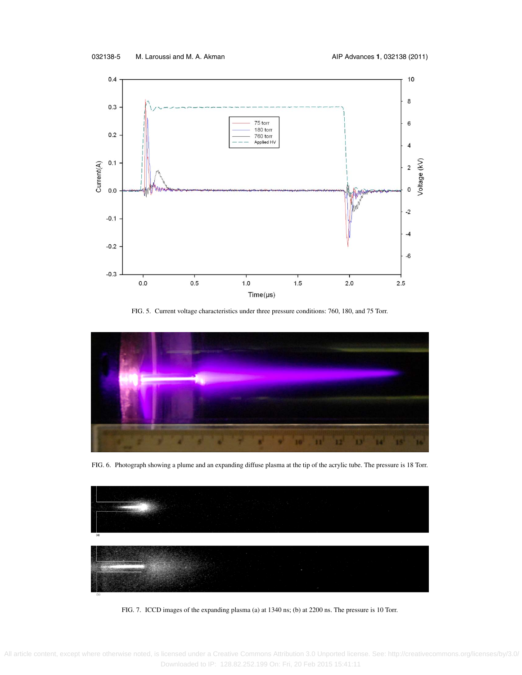<span id="page-6-0"></span>

FIG. 5. Current voltage characteristics under three pressure conditions: 760, 180, and 75 Torr.



FIG. 6. Photograph showing a plume and an expanding diffuse plasma at the tip of the acrylic tube. The pressure is 18 Torr.



FIG. 7. ICCD images of the expanding plasma (a) at 1340 ns; (b) at 2200 ns. The pressure is 10 Torr.